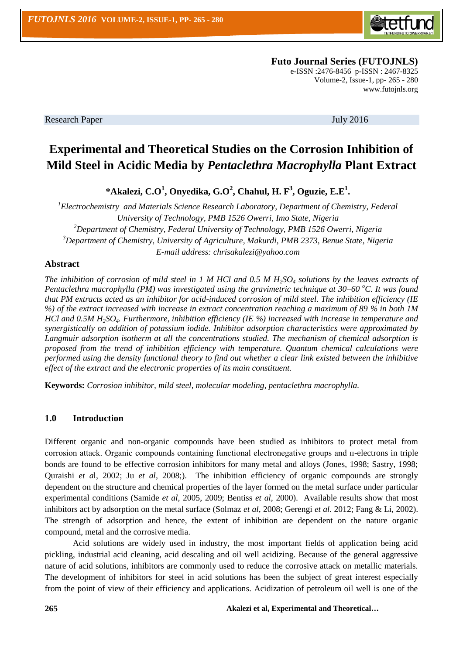

 **Futo Journal Series (FUTOJNLS)**

e-ISSN :2476-8456 p-ISSN : 2467-8325 Volume-2, Issue-1, pp- 265 - 280 [www.futojnls.org](http://www.futojnls.org/)

Research Paper July 2016

# **Experimental and Theoretical Studies on the Corrosion Inhibition of Mild Steel in Acidic Media by** *Pentaclethra Macrophylla* **Plant Extract**

**\*Akalezi, C.O<sup>1</sup> , Onyedika, G.O<sup>2</sup> , Chahul, H. F<sup>3</sup> , Oguzie, E.E<sup>1</sup> .**

*<sup>1</sup>Electrochemistry and Materials Science Research Laboratory, Department of Chemistry, Federal University of Technology, PMB 1526 Owerri, Imo State, Nigeria <sup>2</sup>Department of Chemistry, Federal University of Technology, PMB 1526 Owerri, Nigeria <sup>3</sup>Department of Chemistry, University of Agriculture, Makurdi, PMB 2373, Benue State, Nigeria E-mail address: chrisakalezi@yahoo.com*

## **Abstract**

*The inhibition of corrosion of mild steel in 1 M HCl and 0.5 M H2SO<sup>4</sup> solutions by the leaves extracts of Pentaclethra macrophylla (PM) was investigated using the gravimetric technique at 30–60<sup>°</sup>C. It was found that PM extracts acted as an inhibitor for acid-induced corrosion of mild steel. The inhibition efficiency (IE %) of the extract increased with increase in extract concentration reaching a maximum of 89 % in both 1M HCl and 0.5M H2SO4. Furthermore, inhibition efficiency (IE %) increased with increase in temperature and synergistically on addition of potassium iodide. Inhibitor adsorption characteristics were approximated by Langmuir adsorption isotherm at all the concentrations studied. The mechanism of chemical adsorption is proposed from the trend of inhibition efficiency with temperature. Quantum chemical calculations were performed using the density functional theory to find out whether a clear link existed between the inhibitive effect of the extract and the electronic properties of its main constituent.*

**Keywords:** *Corrosion inhibitor, mild steel, molecular modeling, pentaclethra macrophylla.* 

## **1.0 Introduction**

Different organic and non-organic compounds have been studied as inhibitors to protect metal from corrosion attack. Organic compounds containing functional electronegative groups and п-electrons in triple bonds are found to be effective corrosion inhibitors for many metal and alloys (Jones, 1998; Sastry, 1998; Quraishi *et a*l, 2002; Ju *et al,* 2008;). The inhibition efficiency of organic compounds are strongly dependent on the structure and chemical properties of the layer formed on the metal surface under particular experimental conditions (Samide *et al*, 2005, 2009; Bentiss *et al*, 2000). Available results show that most inhibitors act by adsorption on the metal surface (Solmaz *et al*, 2008; Gerengi *et al*. 2012; Fang & Li, 2002). The strength of adsorption and hence, the extent of inhibition are dependent on the nature organic compound, metal and the corrosive media.

Acid solutions are widely used in industry, the most important fields of application being acid pickling, industrial acid cleaning, acid descaling and oil well acidizing. Because of the general aggressive nature of acid solutions, inhibitors are commonly used to reduce the corrosive attack on metallic materials. The development of inhibitors for steel in acid solutions has been the subject of great interest especially from the point of view of their efficiency and applications. Acidization of petroleum oil well is one of the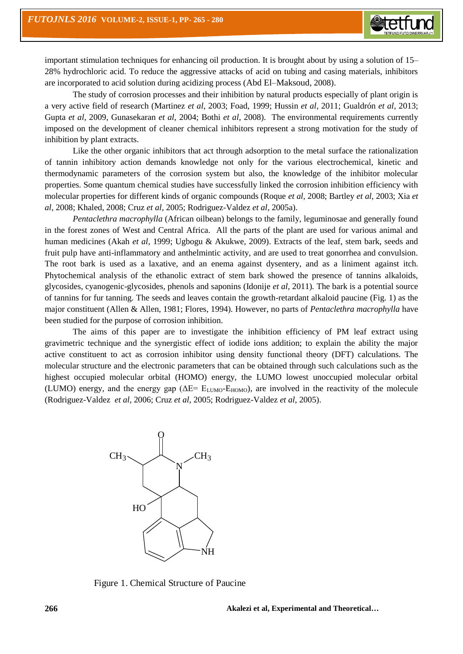important stimulation techniques for enhancing oil production. It is brought about by using a solution of 15– 28% hydrochloric acid. To reduce the aggressive attacks of acid on tubing and casing materials, inhibitors are incorporated to acid solution during acidizing process (Abd El–Maksoud, 2008).

The study of corrosion processes and their inhibition by natural products especially of plant origin is a very active field of research (Martinez *et al*, 2003; Foad, 1999; Hussin *et al*, 2011; Gualdrón *et al*, 2013; Gupta *et al*, 2009, Gunasekaran *et al*, 2004; Bothi *et al*, 2008). The environmental requirements currently imposed on the development of cleaner chemical inhibitors represent a strong motivation for the study of inhibition by plant extracts.

Like the other organic inhibitors that act through adsorption to the metal surface the rationalization of tannin inhibitory action demands knowledge not only for the various electrochemical, kinetic and thermodynamic parameters of the corrosion system but also, the knowledge of the inhibitor molecular properties. Some quantum chemical studies have successfully linked the corrosion inhibition efficiency with molecular properties for different kinds of organic compounds (Roque *et al*, 2008; Bartley *et al*, 2003; Xia *et al*, 2008; Khaled, 2008; Cruz *et al*, 2005; Rodriguez-Valdez *et al*, 2005a).

*Pentaclethra macrophylla* (African oilbean) belongs to the family, leguminosae and generally found in the forest zones of West and Central Africa. All the parts of the plant are used for various animal and human medicines (Akah *et al*, 1999; Ugbogu & Akukwe, 2009). Extracts of the leaf, stem bark, seeds and fruit pulp have anti-inflammatory and anthelmintic activity, and are used to treat gonorrhea and convulsion. The root bark is used as a laxative, and an enema against dysentery, and as a liniment against itch. Phytochemical analysis of the ethanolic extract of stem bark showed the presence of tannins alkaloids, glycosides, cyanogenic-glycosides, phenols and saponins (Idonije *et al,* 2011)*.* The bark is a potential source of tannins for fur tanning. The seeds and leaves contain the growth-retardant alkaloid paucine (Fig. 1) as the major constituent (Allen & Allen, 1981; Flores, 1994)*.* However, no parts of *Pentaclethra macrophylla* have been studied for the purpose of corrosion inhibition.

The aims of this paper are to investigate the inhibition efficiency of PM leaf extract using gravimetric technique and the synergistic effect of iodide ions addition; to explain the ability the major active constituent to act as corrosion inhibitor using density functional theory (DFT) calculations. The molecular structure and the electronic parameters that can be obtained through such calculations such as the highest occupied molecular orbital (HOMO) energy, the LUMO lowest unoccupied molecular orbital (LUMO) energy, and the energy gap ( $\Delta E = E_{LUMO} - E_{HOMO}$ ), are involved in the reactivity of the molecule (Rodriguez-Valdez *et al*, 2006; Cruz *et al*, 2005; Rodriguez-Valdez *et al,* 2005).



Figure 1. Chemical Structure of Paucine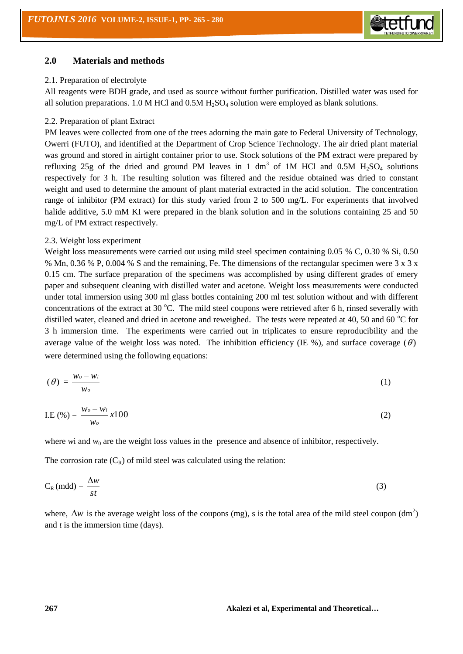

## **2.0 Materials and methods**

## 2.1. Preparation of electrolyte

All reagents were BDH grade, and used as source without further purification. Distilled water was used for all solution preparations. 1.0 M HCl and  $0.5M H<sub>2</sub>SO<sub>4</sub>$  solution were employed as blank solutions.

## 2.2. Preparation of plant Extract

PM leaves were collected from one of the trees adorning the main gate to Federal University of Technology, Owerri (FUTO), and identified at the Department of Crop Science Technology. The air dried plant material was ground and stored in airtight container prior to use. Stock solutions of the PM extract were prepared by refluxing 25g of the dried and ground PM leaves in 1 dm<sup>3</sup> of 1M HCl and 0.5M  $H_2SO_4$  solutions respectively for 3 h. The resulting solution was filtered and the residue obtained was dried to constant weight and used to determine the amount of plant material extracted in the acid solution. The concentration range of inhibitor (PM extract) for this study varied from 2 to 500 mg/L. For experiments that involved halide additive, 5.0 mM KI were prepared in the blank solution and in the solutions containing 25 and 50 mg/L of PM extract respectively.

#### 2.3. Weight loss experiment

Weight loss measurements were carried out using mild steel specimen containing 0.05 % C, 0.30 % Si, 0.50 % Mn, 0.36 % P, 0.004 % S and the remaining, Fe. The dimensions of the rectangular specimen were 3 x 3 x 0.15 cm. The surface preparation of the specimens was accomplished by using different grades of emery paper and subsequent cleaning with distilled water and acetone. Weight loss measurements were conducted under total immersion using 300 ml glass bottles containing 200 ml test solution without and with different concentrations of the extract at 30  $^{\circ}$ C. The mild steel coupons were retrieved after 6 h, rinsed severally with distilled water, cleaned and dried in acetone and reweighed. The tests were repeated at 40, 50 and 60  $^{\circ}$ C for 3 h immersion time. The experiments were carried out in triplicates to ensure reproducibility and the average value of the weight loss was noted. The inhibition efficiency (IE %), and surface coverage  $(\theta)$ were determined using the following equations:

$$
(\theta) = \frac{w_o - w_i}{w_o} \tag{1}
$$

$$
I.E(%) = \frac{w_o - w_i}{w_o} x 100
$$
 (2)

where *w*i and  $w_0$  are the weight loss values in the presence and absence of inhibitor, respectively.

The corrosion rate  $(C_R)$  of mild steel was calculated using the relation:

$$
C_R (mdd) = \frac{\Delta w}{st} \tag{3}
$$

where,  $\Delta w$  is the average weight loss of the coupons (mg), s is the total area of the mild steel coupon (dm<sup>2</sup>) and *t* is the immersion time (days).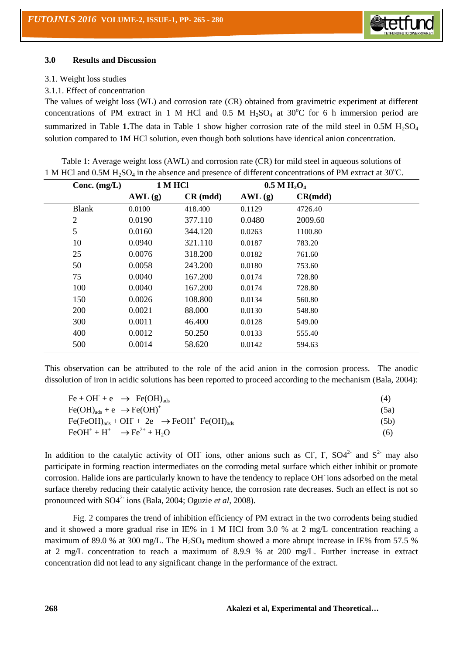

#### **3.0 Results and Discussion**

#### 3.1. Weight loss studies

### 3.1.1. Effect of concentration

The values of weight loss (WL) and corrosion rate (*C*R) obtained from gravimetric experiment at different concentrations of PM extract in 1 M HCl and 0.5 M  $H<sub>2</sub>SO<sub>4</sub>$  at 30°C for 6 h immersion period are summarized in Table 1.The data in Table 1 show higher corrosion rate of the mild steel in  $0.5M H_2SO_4$ solution compared to 1M HCl solution, even though both solutions have identical anion concentration.

Table 1: Average weight loss (AWL) and corrosion rate (CR) for mild steel in aqueous solutions of 1 M HCl and 0.5M  $H_2SO_4$  in the absence and presence of different concentrations of PM extract at 30<sup>o</sup>C.

| Conc. $(mg/L)$ |        | 1 M HCl            |        | $0.5 M H_2O_4$ |  |
|----------------|--------|--------------------|--------|----------------|--|
|                | AWL(g) | $CR \text{ (mdd)}$ | AWL(g) | CR(mdd)        |  |
| <b>Blank</b>   | 0.0100 | 418.400            | 0.1129 | 4726.40        |  |
| $\overline{2}$ | 0.0190 | 377.110            | 0.0480 | 2009.60        |  |
| 5              | 0.0160 | 344.120            | 0.0263 | 1100.80        |  |
| 10             | 0.0940 | 321.110            | 0.0187 | 783.20         |  |
| 25             | 0.0076 | 318.200            | 0.0182 | 761.60         |  |
| 50             | 0.0058 | 243.200            | 0.0180 | 753.60         |  |
| 75             | 0.0040 | 167.200            | 0.0174 | 728.80         |  |
| 100            | 0.0040 | 167.200            | 0.0174 | 728.80         |  |
| 150            | 0.0026 | 108.800            | 0.0134 | 560.80         |  |
| 200            | 0.0021 | 88.000             | 0.0130 | 548.80         |  |
| 300            | 0.0011 | 46.400             | 0.0128 | 549.00         |  |
| 400            | 0.0012 | 50.250             | 0.0133 | 555.40         |  |
| 500            | 0.0014 | 58.620             | 0.0142 | 594.63         |  |

This observation can be attributed to the role of the acid anion in the corrosion process. The anodic dissolution of iron in acidic solutions has been reported to proceed according to the mechanism (Bala, 2004):

| $Fe + OH + e \rightarrow Fe(OH)_{ads}$                     | (4)  |
|------------------------------------------------------------|------|
| $Fe(OH)_{ads} + e \rightarrow Fe(OH)^+$                    | (5a) |
| $Fe(FeOH)_{ads} + OH + 2e \rightarrow FeOH^+ Fe(OH)_{ads}$ | (5b) |
| $FeOH^+ + H^+$ $\rightarrow Fe^{2+} + H_2O$                | (6)  |

In addition to the catalytic activity of OH ions, other anions such as Cl, I,  $SO4^{2-}$  and  $S^{2-}$  may also participate in forming reaction intermediates on the corroding metal surface which either inhibit or promote corrosion. Halide ions are particularly known to have the tendency to replace OH-ions adsorbed on the metal surface thereby reducing their catalytic activity hence, the corrosion rate decreases. Such an effect is not so pronounced with SO4<sup>2-</sup> ions (Bala, 2004; Oguzie *et al*, 2008). <sup>\*</sup>

Fig. 2 compares the trend of inhibition efficiency of PM extract in the two corrodents being studied and it showed a more gradual rise in IE% in 1 M HCl from 3.0 % at 2 mg/L concentration reaching a maximum of 89.0 % at 300 mg/L. The  $H_2SO_4$  medium showed a more abrupt increase in IE% from 57.5 % at 2 mg/L concentration to reach a maximum of 8.9.9 % at 200 mg/L. Further increase in extract concentration did not lead to any significant change in the performance of the extract.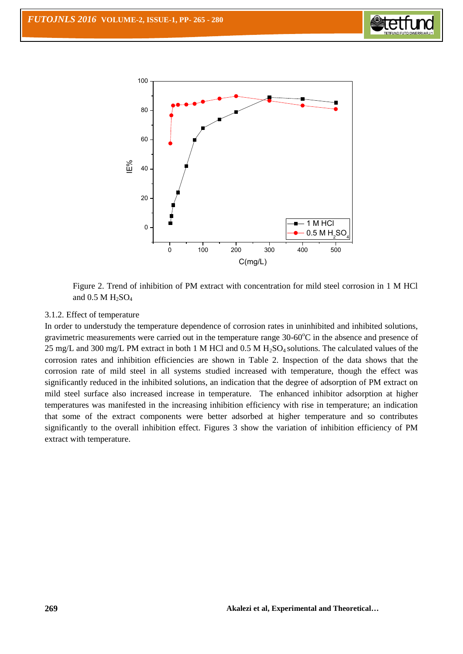



Figure 2. Trend of inhibition of PM extract with concentration for mild steel corrosion in 1 M HCl and  $0.5$  M  $H_2SO_4$ 

## 3.1.2. Effect of temperature

In order to understudy the temperature dependence of corrosion rates in uninhibited and inhibited solutions, gravimetric measurements were carried out in the temperature range  $30{\text -}60^{\circ}\text{C}$  in the absence and presence of 25 mg/L and 300 mg/L PM extract in both 1 M HCl and 0.5 M H<sub>2</sub>SO<sub>4</sub> solutions. The calculated values of the corrosion rates and inhibition efficiencies are shown in Table 2. Inspection of the data shows that the corrosion rate of mild steel in all systems studied increased with temperature, though the effect was significantly reduced in the inhibited solutions, an indication that the degree of adsorption of PM extract on mild steel surface also increased increase in temperature. The enhanced inhibitor adsorption at higher temperatures was manifested in the increasing inhibition efficiency with rise in temperature; an indication that some of the extract components were better adsorbed at higher temperature and so contributes significantly to the overall inhibition effect. Figures 3 show the variation of inhibition efficiency of PM extract with temperature.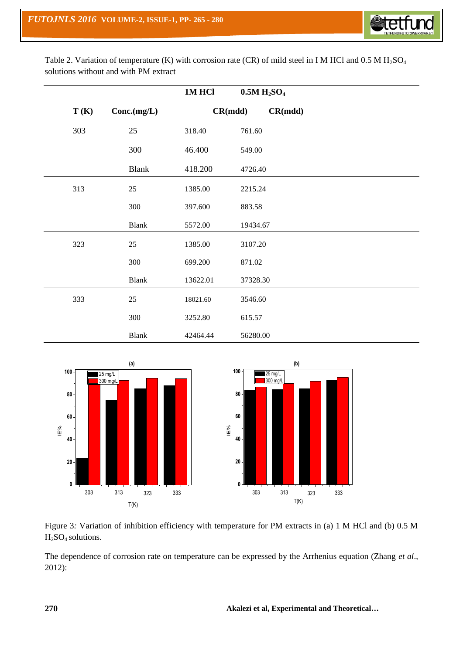

Table 2. Variation of temperature (K) with corrosion rate (CR) of mild steel in I M HCl and  $0.5$  M  $H<sub>2</sub>SO<sub>4</sub>$ solutions without and with PM extract

|      |              | 1MHCl    |          | 0.5M H <sub>2</sub> SO <sub>4</sub> |  |
|------|--------------|----------|----------|-------------------------------------|--|
| T(K) | Conc.(mg/L)  |          | CR(mdd)  | CR(mdd)                             |  |
| 303  | 25           | 318.40   | 761.60   |                                     |  |
|      | 300          | 46.400   | 549.00   |                                     |  |
|      | <b>Blank</b> | 418.200  | 4726.40  |                                     |  |
| 313  | 25           | 1385.00  | 2215.24  |                                     |  |
|      | $300\,$      | 397.600  | 883.58   |                                     |  |
|      | <b>Blank</b> | 5572.00  | 19434.67 |                                     |  |
| 323  | 25           | 1385.00  | 3107.20  |                                     |  |
|      | 300          | 699.200  | 871.02   |                                     |  |
|      | <b>Blank</b> | 13622.01 | 37328.30 |                                     |  |
| 333  | 25           | 18021.60 | 3546.60  |                                     |  |
|      | 300          | 3252.80  | 615.57   |                                     |  |
|      | <b>Blank</b> | 42464.44 | 56280.00 |                                     |  |





The dependence of corrosion rate on temperature can be expressed by the Arrhenius equation (Zhang *et al*., 2012):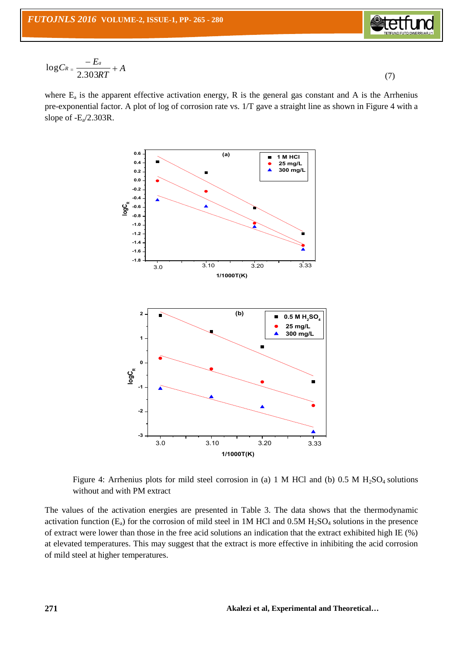

$$
\log C_{R} = \frac{-E_a}{2.303RT} + A \tag{7}
$$

where  $E_a$  is the apparent effective activation energy, R is the general gas constant and A is the Arrhenius pre-exponential factor. A plot of log of corrosion rate vs. 1/T gave a straight line as shown in Figure 4 with a slope of  $-E_a/2.303R$ .



Figure 4: Arrhenius plots for mild steel corrosion in (a) 1 M HCl and (b)  $0.5$  M  $H<sub>2</sub>SO<sub>4</sub>$  solutions without and with PM extract

The values of the activation energies are presented in Table 3. The data shows that the thermodynamic activation function  $(E_a)$  for the corrosion of mild steel in 1M HCl and 0.5M  $H_2SO_4$  solutions in the presence of extract were lower than those in the free acid solutions an indication that the extract exhibited high IE (%) at elevated temperatures. This may suggest that the extract is more effective in inhibiting the acid corrosion of mild steel at higher temperatures.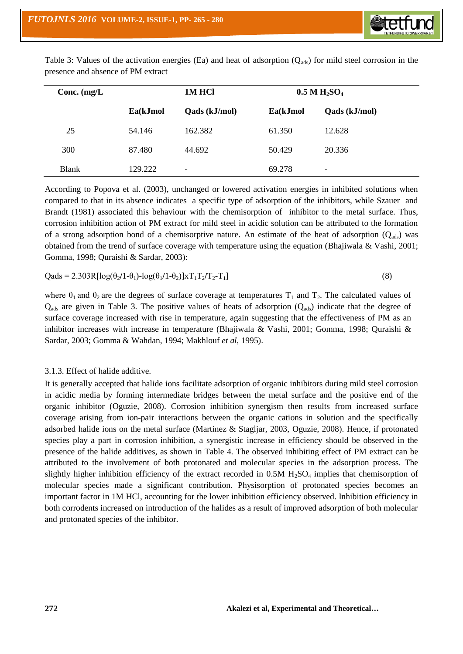

Table 3: Values of the activation energies (Ea) and heat of adsorption  $(Q_{ads})$  for mild steel corrosion in the presence and absence of PM extract

| Conc. $(mg/L)$ |          | 1M HCl        |          | $0.5 \text{ M H}_2\text{SO}_4$ |  |
|----------------|----------|---------------|----------|--------------------------------|--|
|                | Ea(kJmol | Qads (kJ/mol) | Ea(kJmol | Qads (kJ/mol)                  |  |
| 25             | 54.146   | 162.382       | 61.350   | 12.628                         |  |
| 300            | 87.480   | 44.692        | 50.429   | 20.336                         |  |
| <b>Blank</b>   | 129.222  | -             | 69.278   | -                              |  |

According to Popova et al. (2003), unchanged or lowered activation energies in inhibited solutions when compared to that in its absence indicates a specific type of adsorption of the inhibitors, while Szauer and Brandt (1981) associated this behaviour with the chemisorption of inhibitor to the metal surface. Thus, corrosion inhibition action of PM extract for mild steel in acidic solution can be attributed to the formation of a strong adsorption bond of a chemisorptive nature. An estimate of the heat of adsorption  $(Q_{ads})$  was obtained from the trend of surface coverage with temperature using the equation (Bhajiwala & Vashi, 2001; Gomma, 1998; Quraishi & Sardar, 2003):

$$
Qads = 2.303R[log(\theta_2/1-\theta_1)-log(\theta_1/1-\theta_2)]\times T_1T_2/T_2-T_1]
$$
\n(8)

where  $\theta_1$  and  $\theta_2$  are the degrees of surface coverage at temperatures  $T_1$  and  $T_2$ . The calculated values of  $Q_{ads}$  are given in Table 3. The positive values of heats of adsorption  $(Q_{ads})$  indicate that the degree of surface coverage increased with rise in temperature, again suggesting that the effectiveness of PM as an inhibitor increases with increase in temperature (Bhajiwala & Vashi, 2001; Gomma, 1998; Quraishi & Sardar, 2003; Gomma & Wahdan, 1994; Makhlouf *et al,* 1995).

## 3.1.3. Effect of halide additive.

It is generally accepted that halide ions facilitate adsorption of organic inhibitors during mild steel corrosion in acidic media by forming intermediate bridges between the metal surface and the positive end of the organic inhibitor (Oguzie, 2008). Corrosion inhibition synergism then results from increased surface coverage arising from ion-pair interactions between the organic cations in solution and the specifically adsorbed halide ions on the metal surface (Martinez & Stagljar, 2003, Oguzie, 2008). Hence, if protonated species play a part in corrosion inhibition, a synergistic increase in efficiency should be observed in the presence of the halide additives, as shown in Table 4. The observed inhibiting effect of PM extract can be attributed to the involvement of both protonated and molecular species in the adsorption process. The slightly higher inhibition efficiency of the extract recorded in  $0.5M H<sub>2</sub>SO<sub>4</sub>$  implies that chemisorption of molecular species made a significant contribution. Physisorption of protonated species becomes an important factor in 1M HCl, accounting for the lower inhibition efficiency observed. Inhibition efficiency in both corrodents increased on introduction of the halides as a result of improved adsorption of both molecular and protonated species of the inhibitor.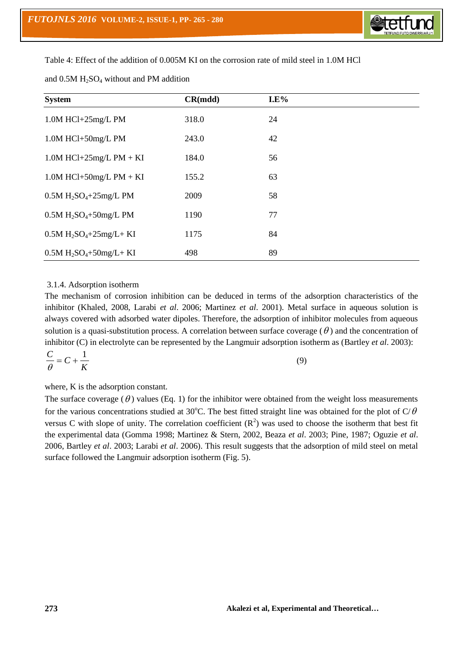

Table 4: Effect of the addition of 0.005M KI on the corrosion rate of mild steel in 1.0M HCl

| <b>System</b>                | CR(mdd) | $I.E\%$ |  |
|------------------------------|---------|---------|--|
| $1.0M$ HCl+25mg/L PM         | 318.0   | 24      |  |
| 1.0M HCl+50mg/L PM           | 243.0   | 42      |  |
| $1.0M$ HCl+25mg/L PM + KI    | 184.0   | 56      |  |
| $1.0M$ HCl+50mg/L PM + KI    | 155.2   | 63      |  |
| $0.5M H_2SO_4 + 25mg/L$ PM   | 2009    | 58      |  |
| $0.5M H2SO4+50mg/L PM$       | 1190    | 77      |  |
| $0.5M H_2SO_4 + 25mg/L + KI$ | 1175    | 84      |  |
| $0.5M H_2SO_4 + 50mg/L + KI$ | 498     | 89      |  |

and  $0.5M H<sub>2</sub>SO<sub>4</sub>$  without and PM addition

## 3.1.4. Adsorption isotherm

The mechanism of corrosion inhibition can be deduced in terms of the adsorption characteristics of the inhibitor (Khaled, 2008, Larabi *et al*. 2006; Martinez *et al*. 2001). Metal surface in aqueous solution is always covered with adsorbed water dipoles. Therefore, the adsorption of inhibitor molecules from aqueous solution is a quasi-substitution process. A correlation between surface coverage  $(\theta)$  and the concentration of inhibitor (C) in electrolyte can be represented by the Langmuir adsorption isotherm as (Bartley *et al*. 2003):

$$
\frac{C}{\theta} = C + \frac{1}{K} \tag{9}
$$

where, K is the adsorption constant.

The surface coverage  $(\theta)$  values (Eq. 1) for the inhibitor were obtained from the weight loss measurements for the various concentrations studied at 30°C. The best fitted straight line was obtained for the plot of C/ $\theta$ versus C with slope of unity. The correlation coefficient  $(R^2)$  was used to choose the isotherm that best fit the experimental data (Gomma 1998; Martinez & Stern, 2002, Beaza *et al*. 2003; Pine, 1987; Oguzie *et al*. 2006, Bartley *et al*. 2003; Larabi *et al*. 2006). This result suggests that the adsorption of mild steel on metal surface followed the Langmuir adsorption isotherm (Fig. 5).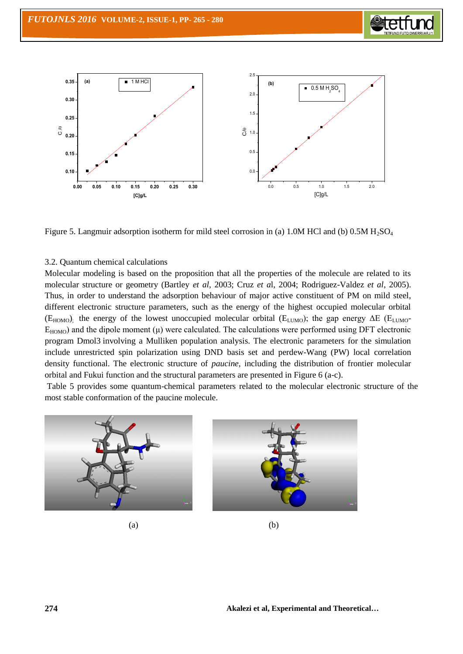



Figure 5. Langmuir adsorption isotherm for mild steel corrosion in (a) 1.0M HCl and (b)  $0.5M H<sub>2</sub>SO<sub>4</sub>$ 

#### 3.2. Quantum chemical calculations

Molecular modeling is based on the proposition that all the properties of the molecule are related to its molecular structure or geometry (Bartley *et al*, 2003; Cruz *et a*l, 2004; Rodriguez-Valdez *et al*, 2005). Thus, in order to understand the adsorption behaviour of major active constituent of PM on mild steel, different electronic structure parameters, such as the energy of the highest occupied molecular orbital ( $E_{HOMO}$ ); the energy of the lowest unoccupied molecular orbital ( $E_{LUMO}$ ); the gap energy  $\Delta E$  ( $E_{LUMO}$ - $E_{HOMO}$ ) and the dipole moment  $(\mu)$  were calculated. The calculations were performed using DFT electronic program Dmol3 involving a Mulliken population analysis. The electronic parameters for the simulation include unrestricted spin polarization using DND basis set and perdew-Wang (PW) local correlation density functional. The electronic structure of *paucine*, including the distribution of frontier molecular orbital and Fukui function and the structural parameters are presented in Figure 6 (a-c).

Table 5 provides some quantum-chemical parameters related to the molecular electronic structure of the most stable conformation of the paucine molecule.



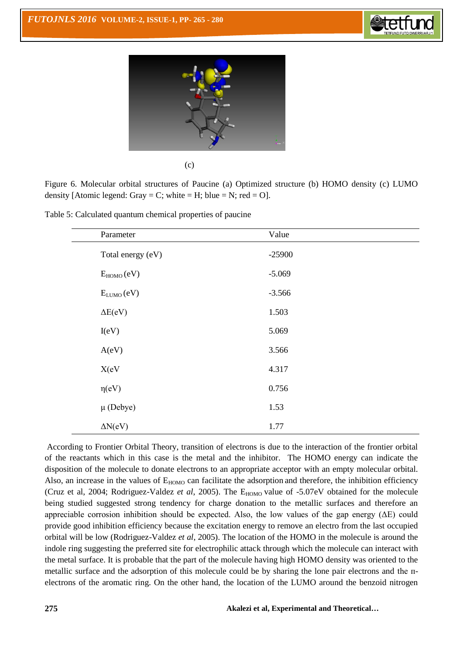



| I<br>×<br>۰. | I |
|--------------|---|

Figure 6. Molecular orbital structures of Paucine (a) Optimized structure (b) HOMO density (c) LUMO density [Atomic legend: Gray = C; white = H; blue = N; red = O].

Table 5: Calculated quantum chemical properties of paucine

| Parameter         | Value    |
|-------------------|----------|
| Total energy (eV) | $-25900$ |
| $E_{HOMO}(eV)$    | $-5.069$ |
| $E_{LUMO}(eV)$    | $-3.566$ |
| $\Delta E(eV)$    | 1.503    |
| I(eV)             | 5.069    |
| A(eV)             | 3.566    |
| X(eV)             | 4.317    |
| $\eta(eV)$        | 0.756    |
| $\mu$ (Debye)     | 1.53     |
| $\Delta N(eV)$    | 1.77     |

According to Frontier Orbital Theory, transition of electrons is due to the interaction of the frontier orbital of the reactants which in this case is the metal and the inhibitor. The HOMO energy can indicate the disposition of the molecule to donate electrons to an appropriate acceptor with an empty molecular orbital. Also, an increase in the values of  $E_{HOMO}$  can facilitate the adsorption and therefore, the inhibition efficiency (Cruz et al, 2004; Rodriguez-Valdez *et al*, 2005). The E<sub>HOMO</sub> value of -5.07eV obtained for the molecule being studied suggested strong tendency for charge donation to the metallic surfaces and therefore an appreciable corrosion inhibition should be expected. Also, the low values of the gap energy  $(\Delta E)$  could provide good inhibition efficiency because the excitation energy to remove an electro from the last occupied orbital will be low (Rodriguez-Valdez *et al*, 2005). The location of the HOMO in the molecule is around the indole ring suggesting the preferred site for electrophilic attack through which the molecule can interact with the metal surface. It is probable that the part of the molecule having high HOMO density was oriented to the metallic surface and the adsorption of this molecule could be by sharing the lone pair electrons and the пelectrons of the aromatic ring. On the other hand, the location of the LUMO around the benzoid nitrogen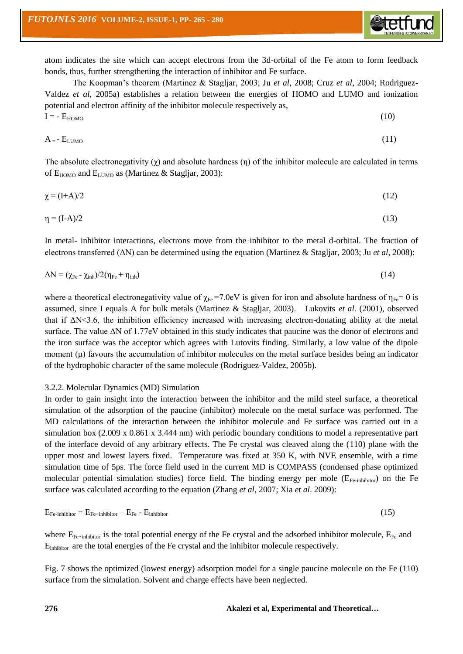

atom indicates the site which can accept electrons from the 3d-orbital of the Fe atom to form feedback bonds, thus, further strengthening the interaction of inhibitor and Fe surface.

The Koopman's theorem (Martinez & Stagljar, 2003; Ju *et al*, 2008; Cruz *et al*, 2004; Rodriguez-Valdez *et al*, 2005a) establishes a relation between the energies of HOMO and LUMO and ionization potential and electron affinity of the inhibitor molecule respectively as,  $I = -E_{HOMO}$  (10)

$$
A = -E_{LUMO} \tag{11}
$$

The absolute electronegativity  $(χ)$  and absolute hardness  $(η)$  of the inhibitor molecule are calculated in terms of  $E_{HOMO}$  and  $E_{LUMO}$  as (Martinez & Stagljar, 2003):

$$
\chi = (I+A)/2 \tag{12}
$$

$$
\eta = (I - A)/2 \tag{13}
$$

In metal- inhibitor interactions, electrons move from the inhibitor to the metal d-orbital. The fraction of electrons transferred (ΔN) can be determined using the equation (Martinez & Stagljar, 2003; Ju *et al*, 2008):

$$
\Delta N = (\chi_{Fe} - \chi_{inh})/2(\eta_{Fe} + \eta_{inh})
$$
\n(14)

where a theoretical electronegativity value of  $\chi_{Fe}$ =7.0eV is given for iron and absolute hardness of  $\eta_{Fe}$ = 0 is assumed, since I equals A for bulk metals (Martinez & Stagljar, 2003). Lukovits *et al*. (2001), observed that if  $\Delta N \leq 3.6$ , the inhibition efficiency increased with increasing electron-donating ability at the metal surface. The value ΔN of 1.77eV obtained in this study indicates that paucine was the donor of electrons and the iron surface was the acceptor which agrees with Lutovits finding. Similarly, a low value of the dipole moment  $(\mu)$  favours the accumulation of inhibitor molecules on the metal surface besides being an indicator of the hydrophobic character of the same molecule (Rodriguez-Valdez, 2005b).

#### 3.2.2. Molecular Dynamics (MD) Simulation

In order to gain insight into the interaction between the inhibitor and the mild steel surface, a theoretical simulation of the adsorption of the paucine (inhibitor) molecule on the metal surface was performed. The MD calculations of the interaction between the inhibitor molecule and Fe surface was carried out in a simulation box (2.009 x 0.861 x 3.444 nm) with periodic boundary conditions to model a representative part of the interface devoid of any arbitrary effects. The Fe crystal was cleaved along the (110) plane with the upper most and lowest layers fixed. Temperature was fixed at 350 K, with NVE ensemble, with a time simulation time of 5ps. The force field used in the current MD is COMPASS (condensed phase optimized molecular potential simulation studies) force field. The binding energy per mole (E<sub>Fe-inhibitor</sub>) on the Fe surface was calculated according to the equation (Zhang *et al*, 2007; Xia *et al*. 2009):

$$
E_{Fe-inhibitor} = E_{Fe-inhibitor} - E_{Fe} - E_{inhibitor}
$$
 (15)

where  $E_{Fe+inhibitor}$  is the total potential energy of the Fe crystal and the adsorbed inhibitor molecule,  $E_{Fe}$  and Einhibitor are the total energies of the Fe crystal and the inhibitor molecule respectively.

Fig. 7 shows the optimized (lowest energy) adsorption model for a single paucine molecule on the Fe (110) surface from the simulation. Solvent and charge effects have been neglected.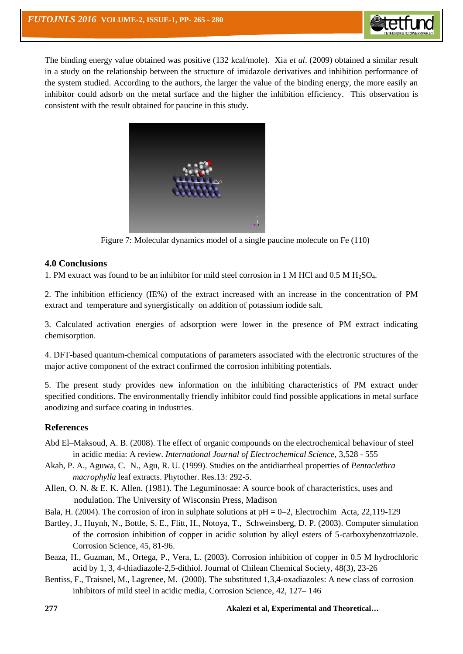

The binding energy value obtained was positive (132 kcal/mole). Xia *et al*. (2009) obtained a similar result in a study on the relationship between the structure of imidazole derivatives and inhibition performance of the system studied. According to the authors, the larger the value of the binding energy, the more easily an inhibitor could adsorb on the metal surface and the higher the inhibition efficiency. This observation is consistent with the result obtained for paucine in this study.



Figure 7: Molecular dynamics model of a single paucine molecule on Fe (110)

## **4.0 Conclusions**

1. PM extract was found to be an inhibitor for mild steel corrosion in 1 M HCl and  $0.5$  M H<sub>2</sub>SO<sub>4</sub>.

2. The inhibition efficiency (IE%) of the extract increased with an increase in the concentration of PM extract and temperature and synergistically on addition of potassium iodide salt.

3. Calculated activation energies of adsorption were lower in the presence of PM extract indicating chemisorption.

4. DFT-based quantum-chemical computations of parameters associated with the electronic structures of the major active component of the extract confirmed the corrosion inhibiting potentials.

5. The present study provides new information on the inhibiting characteristics of PM extract under specified conditions. The environmentally friendly inhibitor could find possible applications in metal surface anodizing and surface coating in industries.

## **References**

- Abd El–Maksoud, A. B. (2008). The effect of organic compounds on the electrochemical behaviour of steel in acidic media: A review. *International Journal of Electrochemical Science,* 3,528 - 555
- Akah, P. A., Aguwa, C. N., Agu, R. U. (1999). Studies on the antidiarrheal properties of *Pentaclethra macrophylla* leaf extracts. Phytother. Res.13: 292-5.
- Allen, O. N. & E. K. Allen. (1981). The Leguminosae: A source book of characteristics, uses and nodulation. The University of Wisconsin Press, Madison
- Bala, H. (2004). The corrosion of iron in sulphate solutions at  $pH = 0-2$ , Electrochim Acta, 22,119-129
- Bartley, J., Huynh, N., Bottle, S. E., Flitt, H., Notoya, T., Schweinsberg, D. P. (2003). Computer simulation of the corrosion inhibition of copper in acidic solution by alkyl esters of 5-carboxybenzotriazole. Corrosion Science, 45, 81-96.
- Beaza, H., Guzman, M., Ortega, P., Vera, L. (2003). Corrosion inhibition of copper in 0.5 M hydrochloric acid by 1, 3, 4-thiadiazole-2,5-dithiol. Journal of Chilean Chemical Society, 48(3), 23-26
- Bentiss, F., Traisnel, M., Lagrenee, M. (2000). The substituted 1,3,4-oxadiazoles: A new class of corrosion inhibitors of mild steel in acidic media, Corrosion Science, 42, 127– 146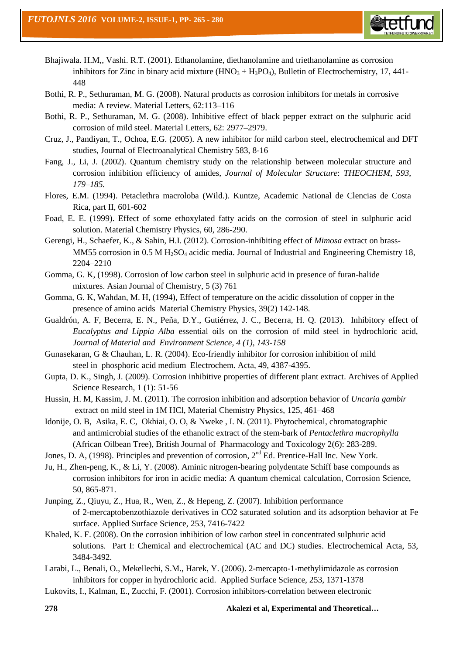

- Bhajiwala. H.M,, Vashi. R.T. (2001). Ethanolamine, diethanolamine and triethanolamine as corrosion inhibitors for Zinc in binary acid mixture  $(HNO<sub>3</sub> + H<sub>3</sub>PO<sub>4</sub>)$ , Bulletin of Electrochemistry, 17, 441-448
- Bothi, R. P., Sethuraman, M. G. (2008). Natural products as corrosion inhibitors for metals in corrosive media: A review. Material Letters, 62:113–116
- Bothi, R. P., Sethuraman, M. G. (2008). Inhibitive effect of black pepper extract on the sulphuric acid corrosion of mild steel. Material Letters, 62: 2977–2979.
- Cruz, J., Pandiyan, T., Ochoa, E.G. (2005). A new inhibitor for mild carbon steel, electrochemical and DFT studies, Journal of Electroanalytical Chemistry 583, 8-16
- Fang, J., Li, J. (2002). Quantum chemistry study on the relationship between molecular structure and corrosion inhibition efficiency of amides, *Journal of Molecular Structure*: *THEOCHEM*, *593*, *179–185.*
- Flores, E.M. (1994). Petaclethra macroloba (Wild.). Kuntze, Academic National de Clencias de Costa Rica, part II, 601-602
- Foad, E. E. (1999). Effect of some ethoxylated fatty acids on the corrosion of steel in sulphuric acid solution. Material Chemistry Physics, 60, 286-290.
- Gerengi, H., Schaefer, K., & Sahin, H.I. (2012). Corrosion-inhibiting effect of *Mimosa* extract on brass-MM55 corrosion in 0.5 M H<sub>2</sub>SO<sub>4</sub> acidic media. Journal of Industrial and Engineering Chemistry 18, 2204–2210
- Gomma, G. K, (1998). Corrosion of low carbon steel in sulphuric acid in presence of furan-halide mixtures. Asian Journal of Chemistry, 5 (3) 761
- Gomma, G. K, Wahdan, M. H, (1994), Effect of temperature on the acidic dissolution of copper in the presence of amino acids Material Chemistry Physics, 39(2) 142-148.
- Gualdrón, A. F, Becerra, E. N., Peña, D.Y., Gutiérrez, J. C., Becerra, H. Q. (2013). Inhibitory effect of *Eucalyptus and Lippia Alba* essential oils on the corrosion of mild steel in hydrochloric acid, *Journal of Material and Environment Science, 4 (1), 143-158*
- Gunasekaran, G & Chauhan, L. R. (2004). Eco-friendly inhibitor for corrosion inhibition of mild steel in phosphoric acid medium Electrochem. Acta, 49, 4387-4395.
- Gupta, D. K., Singh, J. (2009). Corrosion inhibitive properties of different plant extract. Archives of Applied Science Research, 1 (1): 51-56
- Hussin, H. M, Kassim, J. M. (2011). The corrosion inhibition and adsorption behavior of *Uncaria gambir* extract on mild steel in 1M HCl, Material Chemistry Physics, 125, 461–468
- Idonije, O. B, Asika, E. C, Okhiai, O. O, & Nweke , I. N. (2011). Phytochemical, chromatographic and antimicrobial studies of the ethanolic extract of the stem-bark of *Pentaclethra macrophylla* (African Oilbean Tree), British Journal of Pharmacology and Toxicology 2(6): 283-289.
- Jones, D. A, (1998). Principles and prevention of corrosion,  $2<sup>nd</sup>$  Ed. Prentice-Hall Inc. New York.
- Ju, H., Zhen-peng, K., & Li, Y. (2008). Aminic nitrogen-bearing polydentate Schiff base compounds as corrosion inhibitors for iron in acidic media: A quantum chemical calculation, Corrosion Science, 50, 865-871.
- Junping, Z., Qiuyu, Z., Hua, R., Wen, Z., & Hepeng, Z. (2007). Inhibition performance of 2-mercaptobenzothiazole derivatives in CO2 saturated solution and its adsorption behavior at Fe surface. Applied Surface Science, 253, 7416-7422
- Khaled, K. F. (2008). On the corrosion inhibition of low carbon steel in concentrated sulphuric acid solutions. Part I: Chemical and electrochemical (AC and DC) studies. Electrochemical Acta, 53, 3484-3492.
- Larabi, L., Benali, O., Mekellechi, S.M., Harek, Y. (2006). 2-mercapto-1-methylimidazole as corrosion inhibitors for copper in hydrochloric acid. Applied Surface Science, 253, 1371-1378
- Lukovits, I., Kalman, E., Zucchi, F. (2001). Corrosion inhibitors-correlation between electronic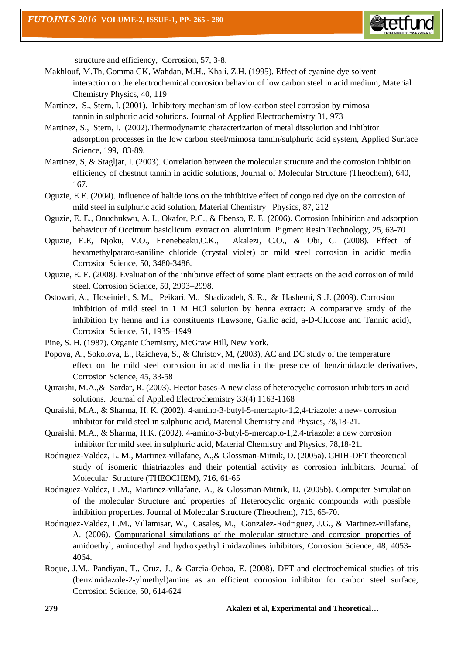

structure and efficiency, Corrosion, 57, 3-8.

- Makhlouf, M.Th, Gomma GK, Wahdan, M.H., Khali, Z.H. (1995). Effect of cyanine dye solvent interaction on the electrochemical corrosion behavior of low carbon steel in acid medium, Material Chemistry Physics, 40, 119
- Martinez, S., Stern, I. (2001). Inhibitory mechanism of low-carbon steel corrosion by mimosa tannin in sulphuric acid solutions. Journal of Applied Electrochemistry 31, 973
- Martinez, S., Stern, I. (2002).Thermodynamic characterization of metal dissolution and inhibitor adsorption processes in the low carbon steel/mimosa tannin/sulphuric acid system, Applied Surface Science, 199, 83-89.
- Martinez, S, & Stagljar, I. (2003). Correlation between the molecular structure and the corrosion inhibition efficiency of chestnut tannin in acidic solutions, Journal of Molecular Structure (Theochem), 640, 167.
- Oguzie, E.E. (2004). Influence of halide ions on the inhibitive effect of congo red dye on the corrosion of mild steel in sulphuric acid solution, Material Chemistry Physics, 87, 212
- Oguzie, E. E., Onuchukwu, A. I., Okafor, P.C., & Ebenso, E. E. (2006). Corrosion Inhibition and adsorption behaviour of Occimum basiclicum extract on aluminium Pigment Resin Technology, 25, 63-70
- Oguzie, E.E, Njoku, V.O., Enenebeaku,C.K., Akalezi, C.O., & Obi, C. (2008). Effect of hexamethylpararo-saniline chloride (crystal violet) on mild steel corrosion in acidic media Corrosion Science, 50, 3480-3486.
- Oguzie, E. E. (2008). Evaluation of the inhibitive effect of some plant extracts on the acid corrosion of mild steel. Corrosion Science, 50, 2993–2998.
- Ostovari, A., Hoseinieh, S. M., Peikari, M., Shadizadeh, S. R., & Hashemi, S .J. (2009). Corrosion inhibition of mild steel in 1 M HCl solution by henna extract: A comparative study of the inhibition by henna and its constituents (Lawsone, Gallic acid, a-D-Glucose and Tannic acid), Corrosion Science, 51, 1935–1949
- Pine, S. H. (1987). Organic Chemistry, McGraw Hill, New York.
- Popova, A., Sokolova, E., Raicheva, S., & Christov, M, (2003), AC and DC study of the temperature effect on the mild steel corrosion in acid media in the presence of benzimidazole derivatives, Corrosion Science, 45, 33-58
- Quraishi, M.A.,& Sardar, R. (2003). Hector bases-A new class of heterocyclic corrosion inhibitors in acid solutions. Journal of Applied Electrochemistry 33(4) 1163-1168
- Quraishi, M.A., & Sharma, H. K. (2002). 4-amino-3-butyl-5-mercapto-1,2,4-triazole: a new- corrosion inhibitor for mild steel in sulphuric acid, Material Chemistry and Physics, 78,18-21.
- Quraishi, M.A., & Sharma, H.K. (2002). 4-amino-3-butyl-5-mercapto-1,2,4-triazole: a new corrosion inhibitor for mild steel in sulphuric acid, Material Chemistry and Physics, 78,18-21.
- Rodriguez-Valdez, L. M., Martinez-villafane, A.,& Glossman-Mitnik, D. (2005a). CHIH-DFT theoretical study of isomeric thiatriazoles and their potential activity as corrosion inhibitors. Journal of Molecular Structure (THEOCHEM), 716, 61-65
- Rodriguez-Valdez, L.M., Martinez-villafane. A., & Glossman-Mitnik, D. (2005b). Computer Simulation of the molecular Structure and properties of Heterocyclic organic compounds with possible inhibition properties. Journal of Molecular Structure (Theochem), 713, 65-70.
- Rodriguez-Valdez, L.M., Villamisar, W., Casales, M., Gonzalez-Rodriguez, J.G., & Martinez-villafane, A. (2006). [Computational simulations of the molecular structure and corrosion properties of](http://www.sciencedirect.com/science/article/pii/S0010938X06001466)  [amidoethyl, aminoethyl and hydroxyethyl imidazolines inhibitors,](http://www.sciencedirect.com/science/article/pii/S0010938X06001466) Corrosion Science, 48, 4053- 4064.
- Roque, J.M., Pandiyan, T., Cruz, J., & Garcia-Ochoa, E. (2008). DFT and electrochemical studies of tris (benzimidazole-2-ylmethyl)amine as an efficient corrosion inhibitor for carbon steel surface, Corrosion Science, 50, 614-624